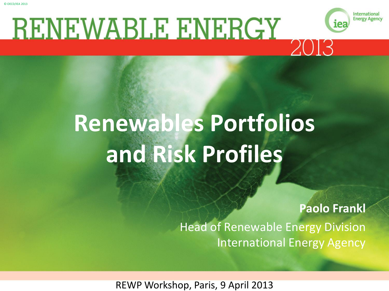

# **Renewables Portfolios and Risk Profiles**

### **Paolo Frankl** Head of Renewable Energy Division International Energy Agency

International

**Energy Agency** 

REWP Workshop, Paris, 9 April 2013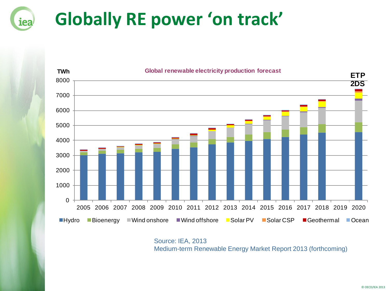## **Globally RE power 'on track'**

iea



Source: IEA, 2013 Medium-term Renewable Energy Market Report 2013 (forthcoming)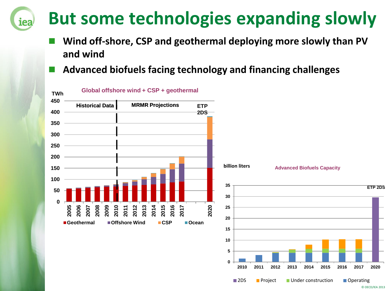## **But some technologies expanding slowly**

- **Wind off-shore, CSP and geothermal deploying more slowly than PV and wind**
- **Advanced biofuels facing technology and financing challenges**

iea



© OECD/IEA 2013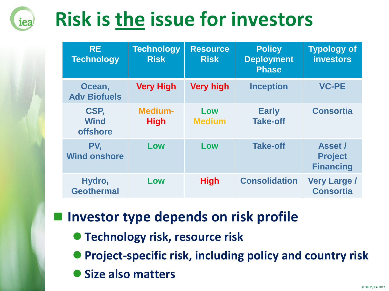# **Risk is the issue for investors**

iea

| <b>RE</b><br><b>Technology</b>         | <b>Technology</b><br><b>Risk</b> | <b>Resource</b><br><b>Risk</b> | <b>Policy</b><br><b>Deployment</b><br><b>Phase</b> | <b>Typology of</b><br><b>investors</b>               |
|----------------------------------------|----------------------------------|--------------------------------|----------------------------------------------------|------------------------------------------------------|
| Ocean,<br><b>Adv Biofuels</b>          | <b>Very High</b>                 | <b>Very high</b>               | <b>Inception</b>                                   | <b>VC-PE</b>                                         |
| CSP,<br><b>Wind</b><br><b>offshore</b> | <b>Medium-</b><br><b>High</b>    | Low<br><b>Medium</b>           | <b>Early</b><br><b>Take-off</b>                    | <b>Consortia</b>                                     |
| PV,<br><b>Wind onshore</b>             | Low                              | Low                            | <b>Take-off</b>                                    | <b>Asset /</b><br><b>Project</b><br><b>Financing</b> |
| Hydro,<br><b>Geothermal</b>            | Low                              | <b>High</b>                    | <b>Consolidation</b>                               | <b>Very Large /</b><br><b>Consortia</b>              |

### **Investor type depends on risk profile**

**Technology risk, resource risk** 

**Project-specific risk, including policy and country risk**

**Size also matters**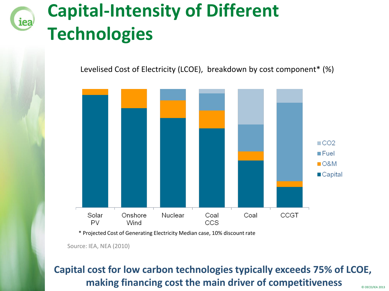

## **Capital-Intensity of Different Technologies**

Levelised Cost of Electricity (LCOE), breakdown by cost component\* (%)



\* Projected Cost of Generating Electricity Median case, 10% discount rate

Source: IEA, NEA (2010)

#### **Capital cost for low carbon technologies typically exceeds 75% of LCOE, making financing cost the main driver of competitiveness**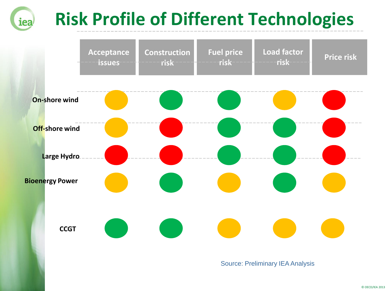#### **Risk Profile of Different Technologies** iea